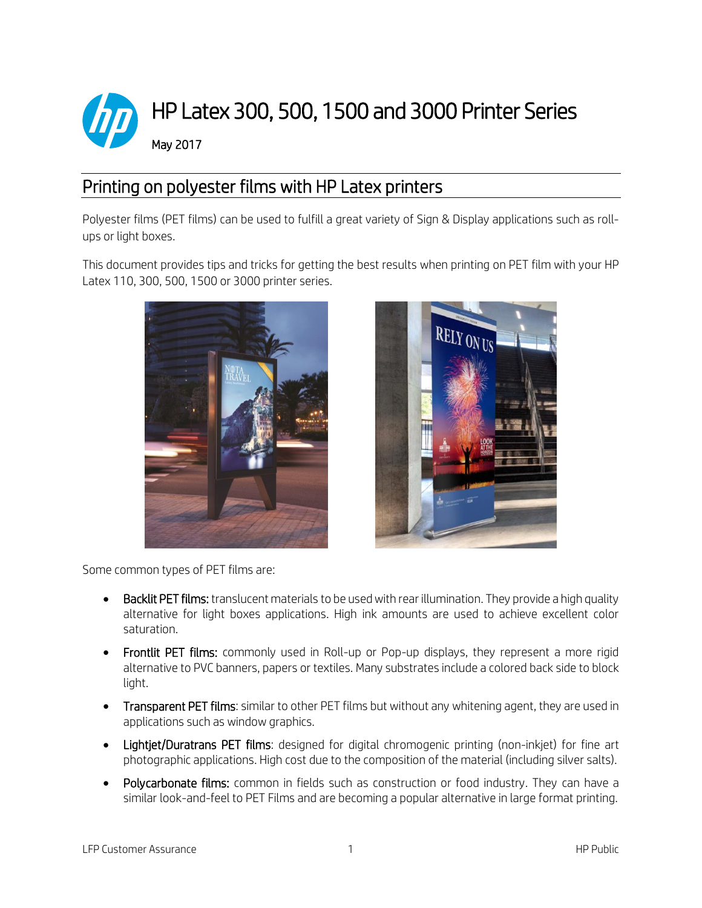

## Printing on polyester films with HP Latex printers

Polyester films (PET films) can be used to fulfill a great variety of Sign & Display applications such as rollups or light boxes.

This document provides tips and tricks for getting the best results when printing on PET film with your HP Latex 110, 300, 500, 1500 or 3000 printer series.





Some common types of PET films are:

- Backlit PET films: translucent materials to be used with rear illumination. They provide a high quality alternative for light boxes applications. High ink amounts are used to achieve excellent color saturation.
- Frontlit PET films: commonly used in Roll-up or Pop-up displays, they represent a more rigid alternative to PVC banners, papers or textiles. Many substrates include a colored back side to block light.
- **Transparent PET films:** similar to other PET films but without any whitening agent, they are used in applications such as window graphics.
- Lightiet/Duratrans PET films: designed for digital chromogenic printing (non-inkjet) for fine art photographic applications. High cost due to the composition of the material (including silver salts).
- Polycarbonate films: common in fields such as construction or food industry. They can have a similar look-and-feel to PET Films and are becoming a popular alternative in large format printing.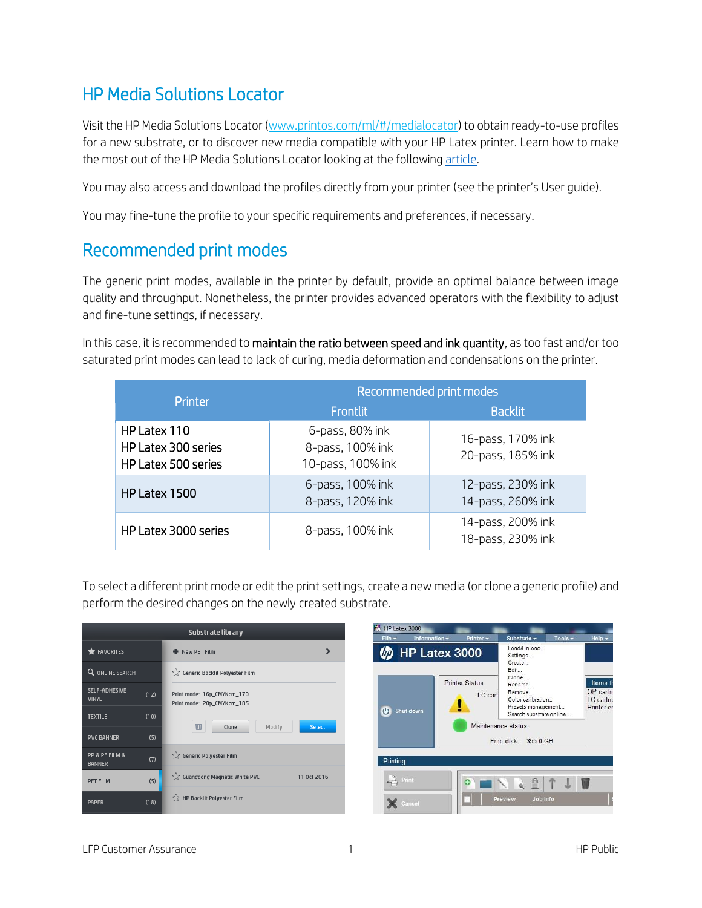## HP Media Solutions Locator

Visit the HP Media Solutions Locator [\(www.printos.com/ml/#/medialocator\)](http://www.printos.com/ml/#/medialocator) to obtain ready-to-use profiles for a new substrate, or to discover new media compatible with your HP Latex printer. Learn how to make the most out of the HP Media Solutions Locator looking at the followin[g article.](http://h20435.www2.hp.com/t5/Media-Applications/Navigating-the-new-HP-Media-Solutions-Locator/ba-p/298209)

You may also access and download the profiles directly from your printer (see the printer's User guide).

You may fine-tune the profile to your specific requirements and preferences, if necessary.

## Recommended print modes

The generic print modes, available in the printer by default, provide an optimal balance between image quality and throughput. Nonetheless, the printer provides advanced operators with the flexibility to adjust and fine-tune settings, if necessary.

In this case, it is recommended to maintain the ratio between speed and ink quantity, as too fast and/or too saturated print modes can lead to lack of curing, media deformation and condensations on the printer.

| Printer                                                    | Recommended print modes                                  |                                        |  |
|------------------------------------------------------------|----------------------------------------------------------|----------------------------------------|--|
|                                                            | <b>Frontlit</b>                                          | <b>Backlit</b>                         |  |
| HP Latex 110<br>HP Latex 300 series<br>HP Latex 500 series | 6-pass, 80% ink<br>8-pass, 100% ink<br>10-pass, 100% ink | 16-pass, 170% ink<br>20-pass, 185% ink |  |
| HP Latex 1500                                              | 6-pass, 100% ink<br>8-pass, 120% ink                     | 12-pass, 230% ink<br>14-pass, 260% ink |  |
| HP Latex 3000 series                                       | 8-pass, 100% ink                                         | 14-pass, 200% ink<br>18-pass, 230% ink |  |

To select a different print mode or edit the print settings, create a new media (or clone a generic profile) and perform the desired changes on the newly created substrate.

| Substrate library               |      |                                                          |               |  |
|---------------------------------|------|----------------------------------------------------------|---------------|--|
| $\bigstar$ FAVORITES            |      | + New PET Film                                           | ⋟             |  |
| <b>Q</b> ONLINE SEARCH          |      | Generic Backlit Polyester Film                           |               |  |
| SELF-ADHESIVE<br><b>VINYL</b>   | (12) | Print mode: 16p_CMYKcm_170<br>Print mode: 20p_CMYKcm_185 |               |  |
| <b>TEXTILE</b>                  | (10) | $\overline{\mathbb{U}}$<br>Clone<br>Modify               | <b>Select</b> |  |
| <b>PVC BANNER</b>               | (5)  |                                                          |               |  |
| PP & PE FILM &<br><b>BANNER</b> | (7)  | Generic Polyester Film                                   |               |  |
| <b>PET FILM</b>                 | (5)  | Guangdong Magnetic White PVC                             | 11 Oct 2016   |  |
| <b>PAPER</b>                    | (18) | HP Backlit Polyester Film                                |               |  |

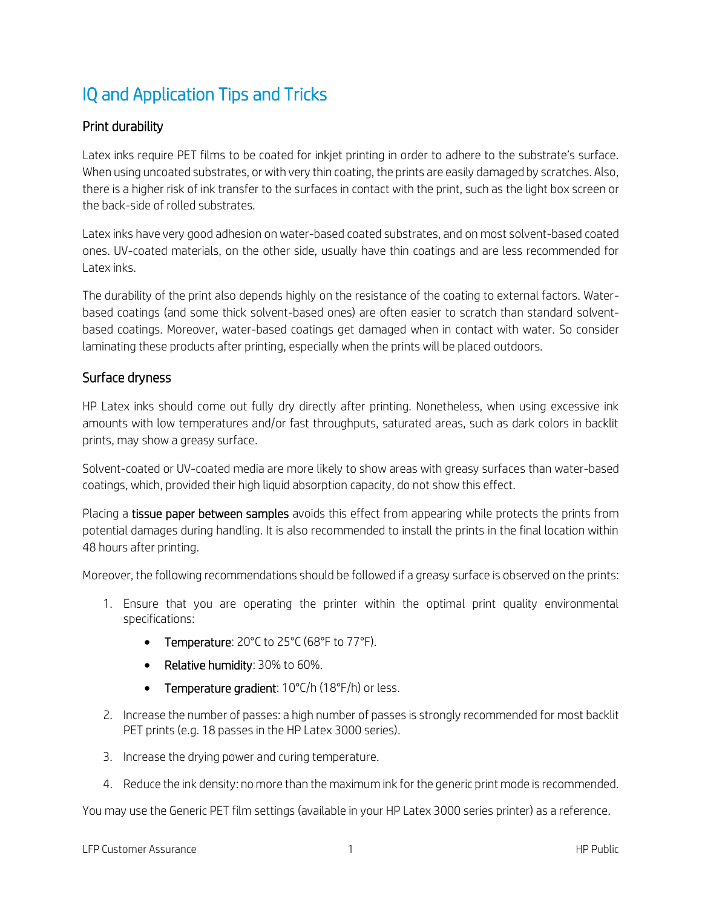# IQ and Application Tips and Tricks

#### Print durability

Latex inks require PET films to be coated for inkjet printing in order to adhere to the substrate's surface. When using uncoated substrates, or with very thin coating, the prints are easily damaged by scratches. Also, there is a higher risk of ink transfer to the surfaces in contact with the print, such as the light box screen or the back-side of rolled substrates.

Latex inks have very good adhesion on water-based coated substrates, and on most solvent-based coated ones. UV-coated materials, on the other side, usually have thin coatings and are less recommended for Latex inks.

The durability of the print also depends highly on the resistance of the coating to external factors. Waterbased coatings (and some thick solvent-based ones) are often easier to scratch than standard solventbased coatings. Moreover, water-based coatings get damaged when in contact with water. So consider laminating these products after printing, especially when the prints will be placed outdoors.

#### Surface dryness

HP Latex inks should come out fully dry directly after printing. Nonetheless, when using excessive ink amounts with low temperatures and/or fast throughputs, saturated areas, such as dark colors in backlit prints, may show a greasy surface.

Solvent-coated or UV-coated media are more likely to show areas with greasy surfaces than water-based coatings, which, provided their high liquid absorption capacity, do not show this effect.

Placing a tissue paper between samples avoids this effect from appearing while protects the prints from potential damages during handling. It is also recommended to install the prints in the final location within 48 hours after printing.

Moreover, the following recommendations should be followed if a greasy surface is observed on the prints:

- 1. Ensure that you are operating the printer within the optimal print quality environmental specifications:
	- Temperature: 20°C to 25°C (68°F to 77°F).
	- Relative humidity: 30% to 60%.
	- Temperature gradient: 10°C/h (18°F/h) or less.
- 2. Increase the number of passes: a high number of passes is strongly recommended for most backlit PET prints (e.g. 18 passes in the HP Latex 3000 series).
- 3. Increase the drying power and curing temperature.
- 4. Reduce the ink density: no more than the maximum ink for the generic print mode is recommended.

You may use the Generic PET film settings (available in your HP Latex 3000 series printer) as a reference.